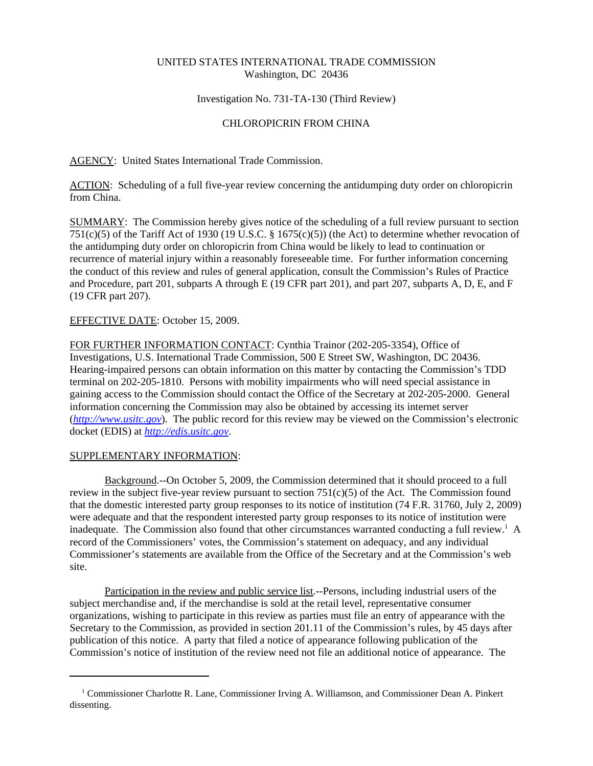# UNITED STATES INTERNATIONAL TRADE COMMISSION Washington, DC 20436

# Investigation No. 731-TA-130 (Third Review)

# CHLOROPICRIN FROM CHINA

AGENCY: United States International Trade Commission.

ACTION: Scheduling of a full five-year review concerning the antidumping duty order on chloropicrin from China.

SUMMARY: The Commission hereby gives notice of the scheduling of a full review pursuant to section 751(c)(5) of the Tariff Act of 1930 (19 U.S.C. § 1675(c)(5)) (the Act) to determine whether revocation of the antidumping duty order on chloropicrin from China would be likely to lead to continuation or recurrence of material injury within a reasonably foreseeable time. For further information concerning the conduct of this review and rules of general application, consult the Commission's Rules of Practice and Procedure, part 201, subparts A through E (19 CFR part 201), and part 207, subparts A, D, E, and F (19 CFR part 207).

### EFFECTIVE DATE: October 15, 2009.

FOR FURTHER INFORMATION CONTACT: Cynthia Trainor (202-205-3354), Office of Investigations, U.S. International Trade Commission, 500 E Street SW, Washington, DC 20436. Hearing-impaired persons can obtain information on this matter by contacting the Commission's TDD terminal on 202-205-1810. Persons with mobility impairments who will need special assistance in gaining access to the Commission should contact the Office of the Secretary at 202-205-2000. General information concerning the Commission may also be obtained by accessing its internet server (*http://www.usitc.gov*). The public record for this review may be viewed on the Commission's electronic docket (EDIS) at *http://edis.usitc.gov*.

#### SUPPLEMENTARY INFORMATION:

Background.--On October 5, 2009, the Commission determined that it should proceed to a full review in the subject five-year review pursuant to section  $751(c)(5)$  of the Act. The Commission found that the domestic interested party group responses to its notice of institution (74 F.R. 31760, July 2, 2009) were adequate and that the respondent interested party group responses to its notice of institution were inadequate. The Commission also found that other circumstances warranted conducting a full review.<sup>1</sup> A record of the Commissioners' votes, the Commission's statement on adequacy, and any individual Commissioner's statements are available from the Office of the Secretary and at the Commission's web site.

Participation in the review and public service list.--Persons, including industrial users of the subject merchandise and, if the merchandise is sold at the retail level, representative consumer organizations, wishing to participate in this review as parties must file an entry of appearance with the Secretary to the Commission, as provided in section 201.11 of the Commission's rules, by 45 days after publication of this notice. A party that filed a notice of appearance following publication of the Commission's notice of institution of the review need not file an additional notice of appearance. The

 <sup>1</sup> Commissioner Charlotte R. Lane, Commissioner Irving A. Williamson, and Commissioner Dean A. Pinkert dissenting.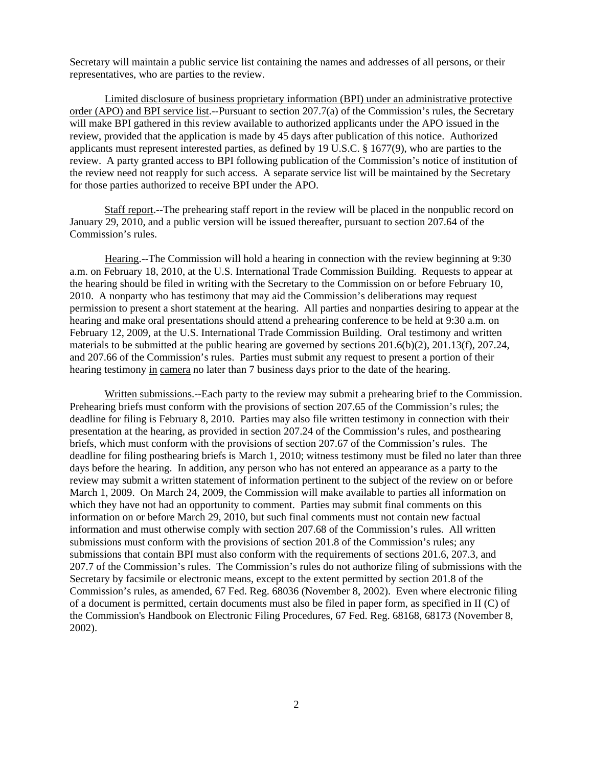Secretary will maintain a public service list containing the names and addresses of all persons, or their representatives, who are parties to the review.

Limited disclosure of business proprietary information (BPI) under an administrative protective order (APO) and BPI service list.--Pursuant to section 207.7(a) of the Commission's rules, the Secretary will make BPI gathered in this review available to authorized applicants under the APO issued in the review, provided that the application is made by 45 days after publication of this notice. Authorized applicants must represent interested parties, as defined by 19 U.S.C. § 1677(9), who are parties to the review. A party granted access to BPI following publication of the Commission's notice of institution of the review need not reapply for such access. A separate service list will be maintained by the Secretary for those parties authorized to receive BPI under the APO.

Staff report.--The prehearing staff report in the review will be placed in the nonpublic record on January 29, 2010, and a public version will be issued thereafter, pursuant to section 207.64 of the Commission's rules.

Hearing.--The Commission will hold a hearing in connection with the review beginning at 9:30 a.m. on February 18, 2010, at the U.S. International Trade Commission Building. Requests to appear at the hearing should be filed in writing with the Secretary to the Commission on or before February 10, 2010. A nonparty who has testimony that may aid the Commission's deliberations may request permission to present a short statement at the hearing. All parties and nonparties desiring to appear at the hearing and make oral presentations should attend a prehearing conference to be held at 9:30 a.m. on February 12, 2009, at the U.S. International Trade Commission Building. Oral testimony and written materials to be submitted at the public hearing are governed by sections 201.6(b)(2), 201.13(f), 207.24, and 207.66 of the Commission's rules. Parties must submit any request to present a portion of their hearing testimony in camera no later than 7 business days prior to the date of the hearing.

Written submissions.--Each party to the review may submit a prehearing brief to the Commission. Prehearing briefs must conform with the provisions of section 207.65 of the Commission's rules; the deadline for filing is February 8, 2010. Parties may also file written testimony in connection with their presentation at the hearing, as provided in section 207.24 of the Commission's rules, and posthearing briefs, which must conform with the provisions of section 207.67 of the Commission's rules. The deadline for filing posthearing briefs is March 1, 2010; witness testimony must be filed no later than three days before the hearing. In addition, any person who has not entered an appearance as a party to the review may submit a written statement of information pertinent to the subject of the review on or before March 1, 2009. On March 24, 2009, the Commission will make available to parties all information on which they have not had an opportunity to comment. Parties may submit final comments on this information on or before March 29, 2010, but such final comments must not contain new factual information and must otherwise comply with section 207.68 of the Commission's rules. All written submissions must conform with the provisions of section 201.8 of the Commission's rules; any submissions that contain BPI must also conform with the requirements of sections 201.6, 207.3, and 207.7 of the Commission's rules. The Commission's rules do not authorize filing of submissions with the Secretary by facsimile or electronic means, except to the extent permitted by section 201.8 of the Commission's rules, as amended, 67 Fed. Reg. 68036 (November 8, 2002). Even where electronic filing of a document is permitted, certain documents must also be filed in paper form, as specified in II (C) of the Commission's Handbook on Electronic Filing Procedures, 67 Fed. Reg. 68168, 68173 (November 8, 2002).